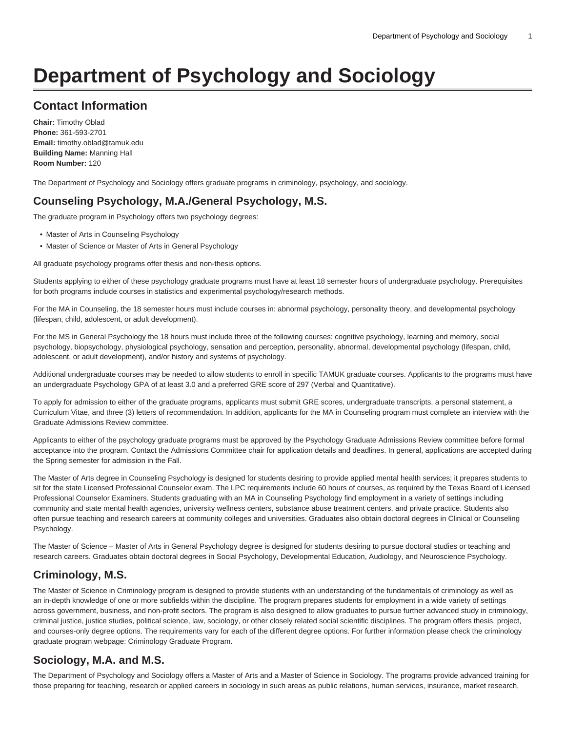# **Department of Psychology and Sociology**

# **Contact Information**

**Chair:** Timothy Oblad **Phone:** 361-593-2701 **Email:** [timothy.oblad@tamuk.edu](mailto:timothy.oblad@tamuk.edu) **Building Name:** Manning Hall **Room Number:** 120

The Department of Psychology and Sociology offers graduate programs in criminology, psychology, and sociology.

# **Counseling Psychology, M.A./General Psychology, M.S.**

The graduate program in Psychology offers two psychology degrees:

- Master of Arts in Counseling Psychology
- Master of Science or Master of Arts in General Psychology

All graduate psychology programs offer thesis and non-thesis options.

Students applying to either of these psychology graduate programs must have at least 18 semester hours of undergraduate psychology. Prerequisites for both programs include courses in statistics and experimental psychology/research methods.

For the MA in Counseling, the 18 semester hours must include courses in: abnormal psychology, personality theory, and developmental psychology (lifespan, child, adolescent, or adult development).

For the MS in General Psychology the 18 hours must include three of the following courses: cognitive psychology, learning and memory, social psychology, biopsychology, physiological psychology, sensation and perception, personality, abnormal, developmental psychology (lifespan, child, adolescent, or adult development), and/or history and systems of psychology.

Additional undergraduate courses may be needed to allow students to enroll in specific TAMUK graduate courses. Applicants to the programs must have an undergraduate Psychology GPA of at least 3.0 and a preferred GRE score of 297 (Verbal and Quantitative).

To apply for admission to either of the graduate programs, applicants must submit GRE scores, undergraduate transcripts, a personal statement, a Curriculum Vitae, and three (3) letters of recommendation. In addition, applicants for the MA in Counseling program must complete an interview with the Graduate Admissions Review committee.

Applicants to either of the psychology graduate programs must be approved by the Psychology Graduate Admissions Review committee before formal acceptance into the program. Contact the Admissions Committee chair for application details and deadlines. In general, applications are accepted during the Spring semester for admission in the Fall.

The Master of Arts degree in Counseling Psychology is designed for students desiring to provide applied mental health services; it prepares students to sit for the state Licensed Professional Counselor exam. The LPC requirements include 60 hours of courses, as required by the Texas Board of Licensed Professional Counselor Examiners. Students graduating with an MA in Counseling Psychology find employment in a variety of settings including community and state mental health agencies, university wellness centers, substance abuse treatment centers, and private practice. Students also often pursue teaching and research careers at community colleges and universities. Graduates also obtain doctoral degrees in Clinical or Counseling Psychology.

The Master of Science – Master of Arts in General Psychology degree is designed for students desiring to pursue doctoral studies or teaching and research careers. Graduates obtain doctoral degrees in Social Psychology, Developmental Education, Audiology, and Neuroscience Psychology.

# **Criminology, M.S.**

The Master of Science in Criminology program is designed to provide students with an understanding of the fundamentals of criminology as well as an in-depth knowledge of one or more subfields within the discipline. The program prepares students for employment in a wide variety of settings across government, business, and non-profit sectors. The program is also designed to allow graduates to pursue further advanced study in criminology, criminal justice, justice studies, political science, law, sociology, or other closely related social scientific disciplines. The program offers thesis, project, and courses-only degree options. The requirements vary for each of the different degree options. For further information please check the criminology graduate program webpage: [Criminology Graduate Program](https://www.tamuk.edu/artsci/departments/psyc/graduate-degrees/criminology.html).

# **Sociology, M.A. and M.S.**

The Department of Psychology and Sociology offers a Master of Arts and a Master of Science in Sociology. The programs provide advanced training for those preparing for teaching, research or applied careers in sociology in such areas as public relations, human services, insurance, market research,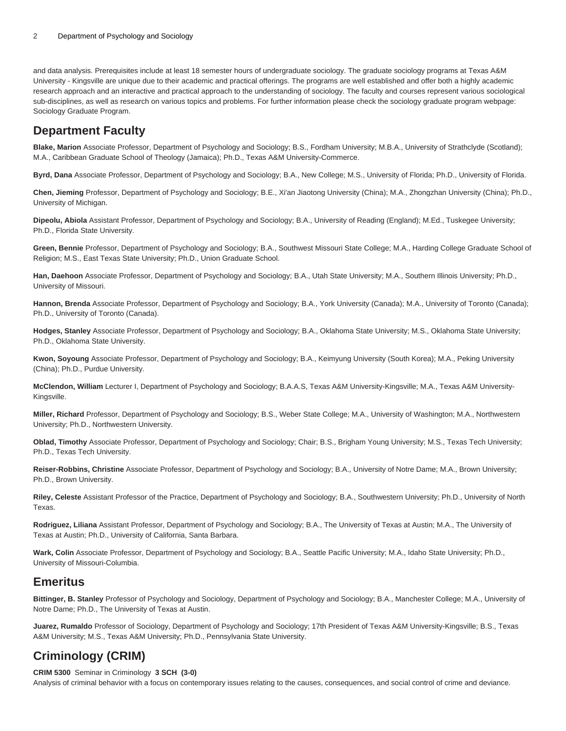and data analysis. Prerequisites include at least 18 semester hours of undergraduate sociology. The graduate sociology programs at Texas A&M University - Kingsville are unique due to their academic and practical offerings. The programs are well established and offer both a highly academic research approach and an interactive and practical approach to the understanding of sociology. The faculty and courses represent various sociological sub-disciplines, as well as research on various topics and problems. For further information please check the sociology graduate program webpage: [Sociology Graduate Program.](https://www.tamuk.edu/artsci/departments/psyc/graduate-degrees/sociology.html)

# **Department Faculty**

**Blake, Marion** Associate Professor, Department of Psychology and Sociology; B.S., Fordham University; M.B.A., University of Strathclyde (Scotland); M.A., Caribbean Graduate School of Theology (Jamaica); Ph.D., Texas A&M University-Commerce.

**Byrd, Dana** Associate Professor, Department of Psychology and Sociology; B.A., New College; M.S., University of Florida; Ph.D., University of Florida.

**Chen, Jieming** Professor, Department of Psychology and Sociology; B.E., Xi'an Jiaotong University (China); M.A., Zhongzhan University (China); Ph.D., University of Michigan.

**Dipeolu, Abiola** Assistant Professor, Department of Psychology and Sociology; B.A., University of Reading (England); M.Ed., Tuskegee University; Ph.D., Florida State University.

**Green, Bennie** Professor, Department of Psychology and Sociology; B.A., Southwest Missouri State College; M.A., Harding College Graduate School of Religion; M.S., East Texas State University; Ph.D., Union Graduate School.

**Han, Daehoon** Associate Professor, Department of Psychology and Sociology; B.A., Utah State University; M.A., Southern Illinois University; Ph.D., University of Missouri.

Hannon, Brenda Associate Professor, Department of Psychology and Sociology; B.A., York University (Canada); M.A., University of Toronto (Canada); Ph.D., University of Toronto (Canada).

**Hodges, Stanley** Associate Professor, Department of Psychology and Sociology; B.A., Oklahoma State University; M.S., Oklahoma State University; Ph.D., Oklahoma State University.

**Kwon, Soyoung** Associate Professor, Department of Psychology and Sociology; B.A., Keimyung University (South Korea); M.A., Peking University (China); Ph.D., Purdue University.

**McClendon, William** Lecturer I, Department of Psychology and Sociology; B.A.A.S, Texas A&M University-Kingsville; M.A., Texas A&M University-Kingsville.

**Miller, Richard** Professor, Department of Psychology and Sociology; B.S., Weber State College; M.A., University of Washington; M.A., Northwestern University; Ph.D., Northwestern University.

**Oblad, Timothy** Associate Professor, Department of Psychology and Sociology; Chair; B.S., Brigham Young University; M.S., Texas Tech University; Ph.D., Texas Tech University.

**Reiser-Robbins, Christine** Associate Professor, Department of Psychology and Sociology; B.A., University of Notre Dame; M.A., Brown University; Ph.D., Brown University.

**Riley, Celeste** Assistant Professor of the Practice, Department of Psychology and Sociology; B.A., Southwestern University; Ph.D., University of North Texas.

**Rodriguez, Liliana** Assistant Professor, Department of Psychology and Sociology; B.A., The University of Texas at Austin; M.A., The University of Texas at Austin; Ph.D., University of California, Santa Barbara.

**Wark, Colin** Associate Professor, Department of Psychology and Sociology; B.A., Seattle Pacific University; M.A., Idaho State University; Ph.D., University of Missouri-Columbia.

# **Emeritus**

**Bittinger, B. Stanley** Professor of Psychology and Sociology, Department of Psychology and Sociology; B.A., Manchester College; M.A., University of Notre Dame; Ph.D., The University of Texas at Austin.

**Juarez, Rumaldo** Professor of Sociology, Department of Psychology and Sociology; 17th President of Texas A&M University-Kingsville; B.S., Texas A&M University; M.S., Texas A&M University; Ph.D., Pennsylvania State University.

# **Criminology (CRIM)**

# **CRIM 5300** Seminar in Criminology **3 SCH (3-0)**

Analysis of criminal behavior with a focus on contemporary issues relating to the causes, consequences, and social control of crime and deviance.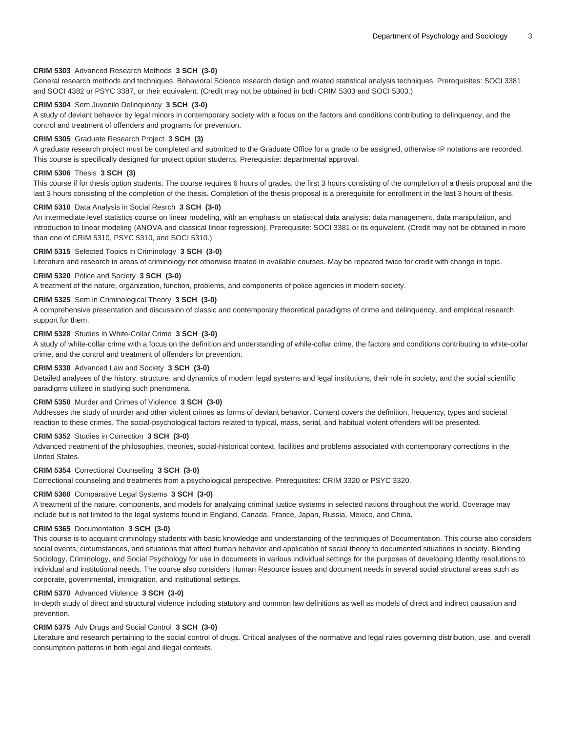### **CRIM 5303** Advanced Research Methods **3 SCH (3-0)**

General research methods and techniques. Behavioral Science research design and related statistical analysis techniques. Prerequisites: SOCI 3381 and SOCI 4382 or PSYC 3387, or their equivalent. (Credit may not be obtained in both CRIM 5303 and SOCI 5303.)

#### **CRIM 5304** Sem Juvenile Delinquency **3 SCH (3-0)**

A study of deviant behavior by legal minors in contemporary society with a focus on the factors and conditions contributing to delinquency, and the control and treatment of offenders and programs for prevention.

#### **CRIM 5305** Graduate Research Project **3 SCH (3)**

A graduate research project must be completed and submitted to the Graduate Office for a grade to be assigned, otherwise IP notations are recorded. This course is specifically designed for project option students, Prerequisite: departmental approval.

### **CRIM 5306** Thesis **3 SCH (3)**

This course if for thesis option students. The course requires 6 hours of grades, the first 3 hours consisting of the completion of a thesis proposal and the last 3 hours consisting of the completion of the thesis. Completion of the thesis proposal is a prerequisite for enrollment in the last 3 hours of thesis.

# **CRIM 5310** Data Analysis in Social Resrch **3 SCH (3-0)**

An intermediate level statistics course on linear modeling, with an emphasis on statistical data analysis: data management, data manipulation, and introduction to linear modeling (ANOVA and classical linear regression). Prerequisite: SOCI 3381 or its equivalent. (Credit may not be obtained in more than one of CRIM 5310, PSYC 5310, and SOCI 5310.)

#### **CRIM 5315** Selected Topics in Criminology **3 SCH (3-0)**

Literature and research in areas of criminology not otherwise treated in available courses. May be repeated twice for credit with change in topic.

### **CRIM 5320** Police and Society **3 SCH (3-0)**

A treatment of the nature, organization, function, problems, and components of police agencies in modern society.

# **CRIM 5325** Sem in Criminological Theory **3 SCH (3-0)**

A comprehensive presentation and discussion of classic and contemporary theoretical paradigms of crime and delinquency, and empirical research support for them.

### **CRIM 5328** Studies in White-Collar Crime **3 SCH (3-0)**

A study of white-collar crime with a focus on the definition and understanding of while-collar crime, the factors and conditions contributing to white-collar crime, and the control and treatment of offenders for prevention.

#### **CRIM 5330** Advanced Law and Society **3 SCH (3-0)**

Detailed analyses of the history, structure, and dynamics of modern legal systems and legal institutions, their role in society, and the social scientific paradigms utilized in studying such phenomena.

### **CRIM 5350** Murder and Crimes of Violence **3 SCH (3-0)**

Addresses the study of murder and other violent crimes as forms of deviant behavior. Content covers the definition, frequency, types and societal reaction to these crimes. The social-psychological factors related to typical, mass, serial, and habitual violent offenders will be presented.

# **CRIM 5352** Studies in Correction **3 SCH (3-0)**

Advanced treatment of the philosophies, theories, social-historical context, facilities and problems associated with contemporary corrections in the United States.

### **CRIM 5354** Correctional Counseling **3 SCH (3-0)**

Correctional counseling and treatments from a psychological perspective. Prerequisites: CRIM 3320 or PSYC 3320.

#### **CRIM 5360** Comparative Legal Systems **3 SCH (3-0)**

A treatment of the nature, components, and models for analyzing criminal justice systems in selected nations throughout the world. Coverage may include but is not limited to the legal systems found in England, Canada, France, Japan, Russia, Mexico, and China.

### **CRIM 5365** Documentation **3 SCH (3-0)**

This course is to acquaint criminology students with basic knowledge and understanding of the techniques of Documentation. This course also considers social events, circumstances, and situations that affect human behavior and application of social theory to documented situations in society. Blending Sociology, Criminology, and Social Psychology for use in documents in various individual settings for the purposes of developing Identity resolutions to individual and institutional needs. The course also considers Human Resource issues and document needs in several social structural areas such as corporate, governmental, immigration, and institutional settings.

### **CRIM 5370** Advanced Violence **3 SCH (3-0)**

In-depth study of direct and structural violence including statutory and common law definitions as well as models of direct and indirect causation and prevention.

#### **CRIM 5375** Adv Drugs and Social Control **3 SCH (3-0)**

Literature and research pertaining to the social control of drugs. Critical analyses of the normative and legal rules governing distribution, use, and overall consumption patterns in both legal and illegal contexts.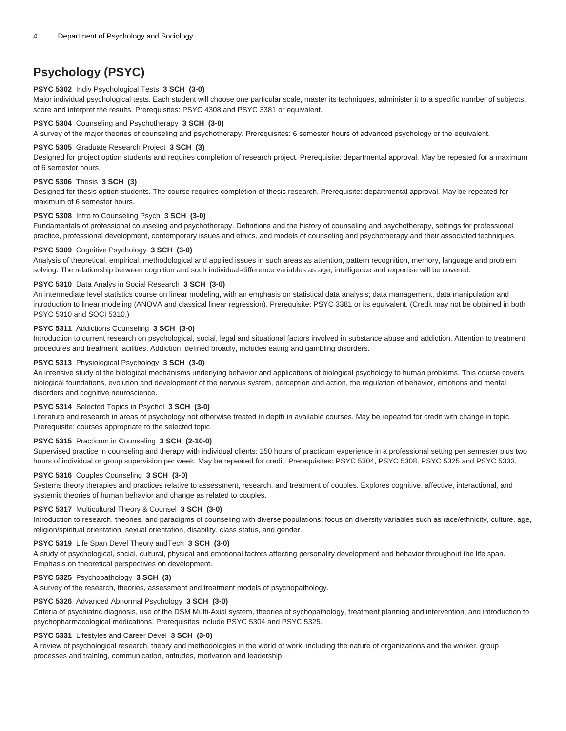# **Psychology (PSYC)**

# **PSYC 5302** Indiv Psychological Tests **3 SCH (3-0)**

Major individual psychological tests. Each student will choose one particular scale, master its techniques, administer it to a specific number of subjects, score and interpret the results. Prerequisites: PSYC 4308 and PSYC 3381 or equivalent.

# **PSYC 5304** Counseling and Psychotherapy **3 SCH (3-0)**

A survey of the major theories of counseling and psychotherapy. Prerequisites: 6 semester hours of advanced psychology or the equivalent.

# **PSYC 5305** Graduate Research Project **3 SCH (3)**

Designed for project option students and requires completion of research project. Prerequisite: departmental approval. May be repeated for a maximum of 6 semester hours.

# **PSYC 5306** Thesis **3 SCH (3)**

Designed for thesis option students. The course requires completion of thesis research. Prerequisite: departmental approval. May be repeated for maximum of 6 semester hours.

### **PSYC 5308** Intro to Counseling Psych **3 SCH (3-0)**

Fundamentals of professional counseling and psychotherapy. Definitions and the history of counseling and psychotherapy, settings for professional practice, professional development, contemporary issues and ethics, and models of counseling and psychotherapy and their associated techniques.

### **PSYC 5309** Cognitive Psychology **3 SCH (3-0)**

Analysis of theoretical, empirical, methodological and applied issues in such areas as attention, pattern recognition, memory, language and problem solving. The relationship between cognition and such individual-difference variables as age, intelligence and expertise will be covered.

# **PSYC 5310** Data Analys in Social Research **3 SCH (3-0)**

An intermediate level statistics course on linear modeling, with an emphasis on statistical data analysis; data management, data manipulation and introduction to linear modeling (ANOVA and classical linear regression). Prerequisite: PSYC 3381 or its equivalent. (Credit may not be obtained in both PSYC 5310 and SOCI 5310.)

# **PSYC 5311** Addictions Counseling **3 SCH (3-0)**

Introduction to current research on psychological, social, legal and situational factors involved in substance abuse and addiction. Attention to treatment procedures and treatment facilities. Addiction, defined broadly, includes eating and gambling disorders.

# **PSYC 5313** Physiological Psychology **3 SCH (3-0)**

An intensive study of the biological mechanisms underlying behavior and applications of biological psychology to human problems. This course covers biological foundations, evolution and development of the nervous system, perception and action, the regulation of behavior, emotions and mental disorders and cognitive neuroscience.

# **PSYC 5314** Selected Topics in Psychol **3 SCH (3-0)**

Literature and research in areas of psychology not otherwise treated in depth in available courses. May be repeated for credit with change in topic. Prerequisite: courses appropriate to the selected topic.

# **PSYC 5315** Practicum in Counseling **3 SCH (2-10-0)**

Supervised practice in counseling and therapy with individual clients: 150 hours of practicum experience in a professional setting per semester plus two hours of individual or group supervision per week. May be repeated for credit. Prerequisites: PSYC 5304, PSYC 5308, PSYC 5325 and PSYC 5333.

# **PSYC 5316** Couples Counseling **3 SCH (3-0)**

Systems theory therapies and practices relative to assessment, research, and treatment of couples. Explores cognitive, affective, interactional, and systemic theories of human behavior and change as related to couples.

# **PSYC 5317** Multicultural Theory & Counsel **3 SCH (3-0)**

Introduction to research, theories, and paradigms of counseling with diverse populations; focus on diversity variables such as race/ethnicity, culture, age, religion/spiritual orientation, sexual orientation, disability, class status, and gender.

# **PSYC 5319** Life Span Devel Theory andTech **3 SCH (3-0)**

A study of psychological, social, cultural, physical and emotional factors affecting personality development and behavior throughout the life span. Emphasis on theoretical perspectives on development.

# **PSYC 5325** Psychopathology **3 SCH (3)**

A survey of the research, theories, assessment and treatment models of psychopathology.

# **PSYC 5326** Advanced Abnormal Psychology **3 SCH (3-0)**

Criteria of psychiatric diagnosis, use of the DSM Multi-Axial system, theories of sychopathology, treatment planning and intervention, and introduction to psychopharmacological medications. Prerequisites include PSYC 5304 and PSYC 5325.

# **PSYC 5331** Lifestyles and Career Devel **3 SCH (3-0)**

A review of psychological research, theory and methodologies in the world of work, including the nature of organizations and the worker, group processes and training, communication, attitudes, motivation and leadership.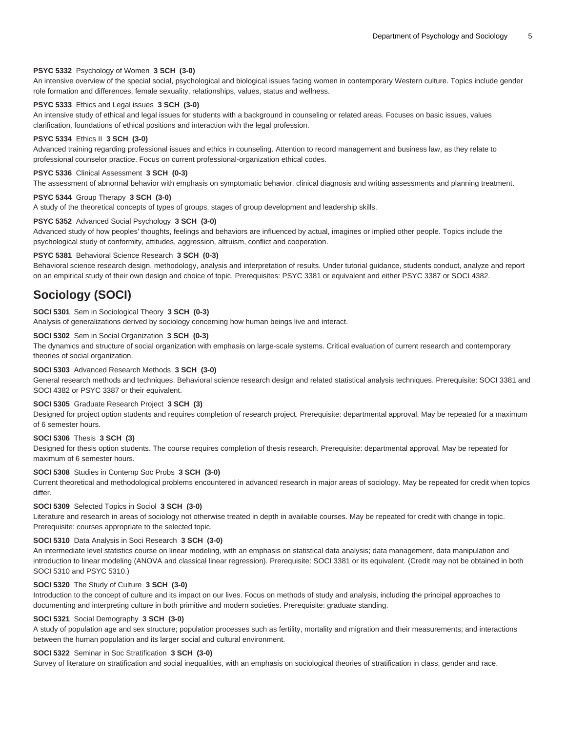### **PSYC 5332** Psychology of Women **3 SCH (3-0)**

An intensive overview of the special social, psychological and biological issues facing women in contemporary Western culture. Topics include gender role formation and differences, female sexuality, relationships, values, status and wellness.

#### **PSYC 5333** Ethics and Legal issues **3 SCH (3-0)**

An intensive study of ethical and legal issues for students with a background in counseling or related areas. Focuses on basic issues, values clarification, foundations of ethical positions and interaction with the legal profession.

#### **PSYC 5334** Ethics II **3 SCH (3-0)**

Advanced training regarding professional issues and ethics in counseling. Attention to record management and business law, as they relate to professional counselor practice. Focus on current professional-organization ethical codes.

### **PSYC 5336** Clinical Assessment **3 SCH (0-3)**

The assessment of abnormal behavior with emphasis on symptomatic behavior, clinical diagnosis and writing assessments and planning treatment.

# **PSYC 5344** Group Therapy **3 SCH (3-0)**

A study of the theoretical concepts of types of groups, stages of group development and leadership skills.

#### **PSYC 5352** Advanced Social Psychology **3 SCH (3-0)**

Advanced study of how peoples' thoughts, feelings and behaviors are influenced by actual, imagines or implied other people. Topics include the psychological study of conformity, attitudes, aggression, altruism, conflict and cooperation.

#### **PSYC 5381** Behavioral Science Research **3 SCH (0-3)**

Behavioral science research design, methodology, analysis and interpretation of results. Under tutorial guidance, students conduct, analyze and report on an empirical study of their own design and choice of topic. Prerequisites: PSYC 3381 or equivalent and either PSYC 3387 or SOCI 4382.

# **Sociology (SOCI)**

#### **SOCI 5301** Sem in Sociological Theory **3 SCH (0-3)**

Analysis of generalizations derived by sociology concerning how human beings live and interact.

### **SOCI 5302** Sem in Social Organization **3 SCH (0-3)**

The dynamics and structure of social organization with emphasis on large-scale systems. Critical evaluation of current research and contemporary theories of social organization.

### **SOCI 5303** Advanced Research Methods **3 SCH (3-0)**

General research methods and techniques. Behavioral science research design and related statistical analysis techniques. Prerequisite: SOCI 3381 and SOCI 4382 or PSYC 3387 or their equivalent.

#### **SOCI 5305** Graduate Research Project **3 SCH (3)**

Designed for project option students and requires completion of research project. Prerequisite: departmental approval. May be repeated for a maximum of 6 semester hours.

### **SOCI 5306** Thesis **3 SCH (3)**

Designed for thesis option students. The course requires completion of thesis research. Prerequisite: departmental approval. May be repeated for maximum of 6 semester hours.

# **SOCI 5308** Studies in Contemp Soc Probs **3 SCH (3-0)**

Current theoretical and methodological problems encountered in advanced research in major areas of sociology. May be repeated for credit when topics differ.

### **SOCI 5309** Selected Topics in Sociol **3 SCH (3-0)**

Literature and research in areas of sociology not otherwise treated in depth in available courses. May be repeated for credit with change in topic. Prerequisite: courses appropriate to the selected topic.

### **SOCI 5310** Data Analysis in Soci Research **3 SCH (3-0)**

An intermediate level statistics course on linear modeling, with an emphasis on statistical data analysis; data management, data manipulation and introduction to linear modeling (ANOVA and classical linear regression). Prerequisite: SOCI 3381 or its equivalent. (Credit may not be obtained in both SOCI 5310 and PSYC 5310.)

### **SOCI 5320** The Study of Culture **3 SCH (3-0)**

Introduction to the concept of culture and its impact on our lives. Focus on methods of study and analysis, including the principal approaches to documenting and interpreting culture in both primitive and modern societies. Prerequisite: graduate standing.

### **SOCI 5321** Social Demography **3 SCH (3-0)**

A study of population age and sex structure; population processes such as fertility, mortality and migration and their measurements; and interactions between the human population and its larger social and cultural environment.

### **SOCI 5322** Seminar in Soc Stratification **3 SCH (3-0)**

Survey of literature on stratification and social inequalities, with an emphasis on sociological theories of stratification in class, gender and race.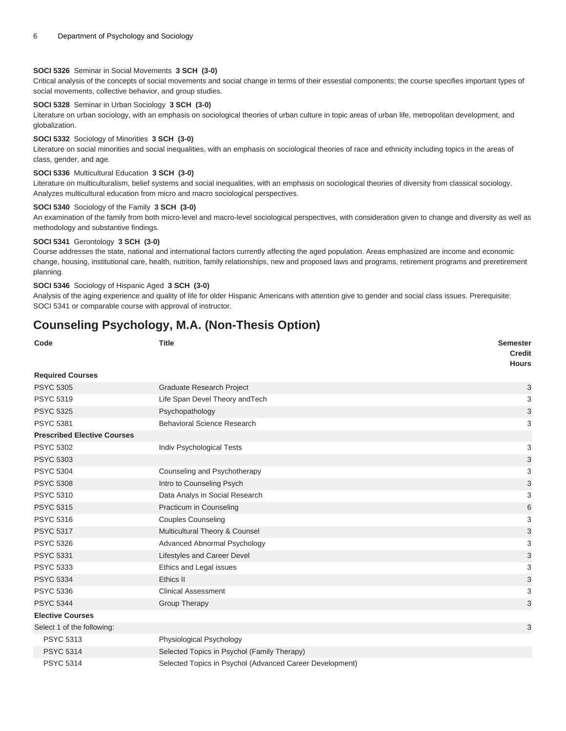# **SOCI 5326** Seminar in Social Movements **3 SCH (3-0)**

Critical analysis of the concepts of social movements and social change in terms of their essestial components; the course specifies important types of social movements, collective behavior, and group studies.

### **SOCI 5328** Seminar in Urban Sociology **3 SCH (3-0)**

Literature on urban sociology, with an emphasis on sociological theories of urban culture in topic areas of urban life, metropolitan development, and globalization.

### **SOCI 5332** Sociology of Minorities **3 SCH (3-0)**

Literature on social minorities and social inequalities, with an emphasis on sociological theories of race and ethnicity including topics in the areas of class, gender, and age.

# **SOCI 5336** Multicultural Education **3 SCH (3-0)**

Literature on multiculturalism, belief systems and social inequalities, with an emphasis on sociological theories of diversity from classical sociology. Analyzes multicultural education from micro and macro sociological perspectives.

# **SOCI 5340** Sociology of the Family **3 SCH (3-0)**

An examination of the family from both micro-level and macro-level sociological perspectives, with consideration given to change and diversity as well as methodology and substantive findings.

#### **SOCI 5341** Gerontology **3 SCH (3-0)**

Course addresses the state, national and international factors currently affecting the aged population. Areas emphasized are income and economic change, housing, institutional care, health, nutrition, family relationships, new and proposed laws and programs, retirement programs and preretirement planning.

### **SOCI 5346** Sociology of Hispanic Aged **3 SCH (3-0)**

Analysis of the aging experience and quality of life for older Hispanic Americans with attention give to gender and social class issues. Prerequisite: SOCI 5341 or comparable course with approval of instructor.

# **Counseling Psychology, M.A. (Non-Thesis Option)**

| Code                               | <b>Title</b>                                             | <b>Semester</b><br><b>Credit</b><br><b>Hours</b> |
|------------------------------------|----------------------------------------------------------|--------------------------------------------------|
| <b>Required Courses</b>            |                                                          |                                                  |
| <b>PSYC 5305</b>                   | <b>Graduate Research Project</b>                         | 3                                                |
| <b>PSYC 5319</b>                   | Life Span Devel Theory and Tech                          | 3                                                |
| <b>PSYC 5325</b>                   | Psychopathology                                          | 3                                                |
| <b>PSYC 5381</b>                   | <b>Behavioral Science Research</b>                       | 3                                                |
| <b>Prescribed Elective Courses</b> |                                                          |                                                  |
| <b>PSYC 5302</b>                   | Indiv Psychological Tests                                | 3                                                |
| <b>PSYC 5303</b>                   |                                                          | 3                                                |
| <b>PSYC 5304</b>                   | Counseling and Psychotherapy                             | 3                                                |
| <b>PSYC 5308</b>                   | Intro to Counseling Psych                                | 3                                                |
| <b>PSYC 5310</b>                   | Data Analys in Social Research                           | 3                                                |
| <b>PSYC 5315</b>                   | Practicum in Counseling                                  | 6                                                |
| <b>PSYC 5316</b>                   | <b>Couples Counseling</b>                                | 3                                                |
| <b>PSYC 5317</b>                   | Multicultural Theory & Counsel                           | 3                                                |
| <b>PSYC 5326</b>                   | Advanced Abnormal Psychology                             | 3                                                |
| <b>PSYC 5331</b>                   | Lifestyles and Career Devel                              | 3                                                |
| <b>PSYC 5333</b>                   | Ethics and Legal issues                                  | 3                                                |
| <b>PSYC 5334</b>                   | Ethics II                                                | 3                                                |
| <b>PSYC 5336</b>                   | <b>Clinical Assessment</b>                               | 3                                                |
| <b>PSYC 5344</b>                   | <b>Group Therapy</b>                                     | 3                                                |
| <b>Elective Courses</b>            |                                                          |                                                  |
| Select 1 of the following:         |                                                          | 3                                                |
| <b>PSYC 5313</b>                   | Physiological Psychology                                 |                                                  |
| <b>PSYC 5314</b>                   | Selected Topics in Psychol (Family Therapy)              |                                                  |
| <b>PSYC 5314</b>                   | Selected Topics in Psychol (Advanced Career Development) |                                                  |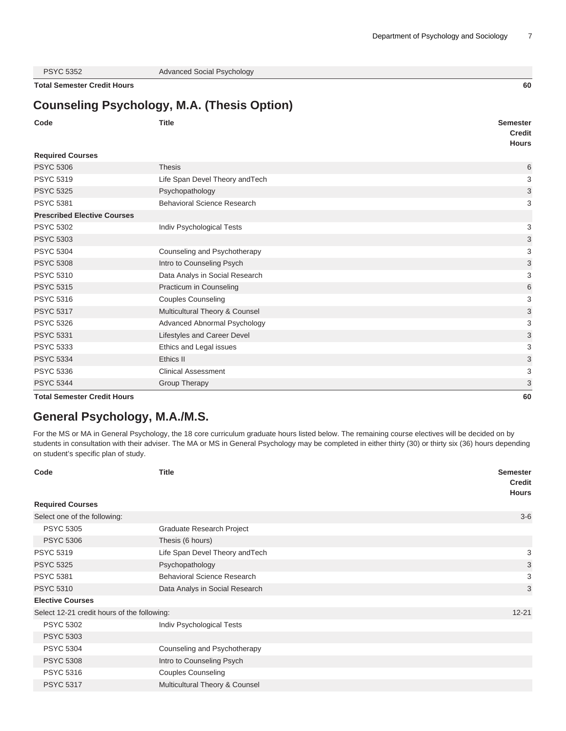| <b>PSYC 5352</b> |  |  |
|------------------|--|--|
|------------------|--|--|

Advanced Social Psychology

**Total Semester Credit Hours 60**

# **Counseling Psychology, M.A. (Thesis Option)**

|                                    | Counseling Esychology, M.A. (Thesis Option) |                                                  |
|------------------------------------|---------------------------------------------|--------------------------------------------------|
| Code                               | <b>Title</b>                                | <b>Semester</b><br><b>Credit</b><br><b>Hours</b> |
| <b>Required Courses</b>            |                                             |                                                  |
| <b>PSYC 5306</b>                   | <b>Thesis</b>                               | 6                                                |
| <b>PSYC 5319</b>                   | Life Span Devel Theory and Tech             | 3                                                |
| <b>PSYC 5325</b>                   | Psychopathology                             | 3                                                |
| <b>PSYC 5381</b>                   | Behavioral Science Research                 | 3                                                |
| <b>Prescribed Elective Courses</b> |                                             |                                                  |
| <b>PSYC 5302</b>                   | Indiv Psychological Tests                   | 3                                                |
| <b>PSYC 5303</b>                   |                                             | 3                                                |
| <b>PSYC 5304</b>                   | Counseling and Psychotherapy                | 3                                                |
| <b>PSYC 5308</b>                   | Intro to Counseling Psych                   | 3                                                |
| <b>PSYC 5310</b>                   | Data Analys in Social Research              | 3                                                |
| <b>PSYC 5315</b>                   | Practicum in Counseling                     | 6                                                |
| <b>PSYC 5316</b>                   | <b>Couples Counseling</b>                   | 3                                                |
| <b>PSYC 5317</b>                   | Multicultural Theory & Counsel              | 3                                                |
| <b>PSYC 5326</b>                   | Advanced Abnormal Psychology                | 3                                                |
| <b>PSYC 5331</b>                   | Lifestyles and Career Devel                 | 3                                                |
| <b>PSYC 5333</b>                   | Ethics and Legal issues                     | 3                                                |
| <b>PSYC 5334</b>                   | Ethics II                                   | 3                                                |
| <b>PSYC 5336</b>                   | <b>Clinical Assessment</b>                  | 3                                                |
| <b>PSYC 5344</b>                   | Group Therapy                               | 3                                                |
| <b>Total Semester Credit Hours</b> |                                             | 60                                               |

# **General Psychology, M.A./M.S.**

For the MS or MA in General Psychology, the 18 core curriculum graduate hours listed below. The remaining course electives will be decided on by students in consultation with their adviser. The MA or MS in General Psychology may be completed in either thirty (30) or thirty six (36) hours depending on student's specific plan of study.

| Code                                        | <b>Title</b>                       | <b>Semester</b><br><b>Credit</b><br><b>Hours</b> |
|---------------------------------------------|------------------------------------|--------------------------------------------------|
| <b>Required Courses</b>                     |                                    |                                                  |
| Select one of the following:                |                                    | $3-6$                                            |
| <b>PSYC 5305</b>                            | Graduate Research Project          |                                                  |
| <b>PSYC 5306</b>                            | Thesis (6 hours)                   |                                                  |
| <b>PSYC 5319</b>                            | Life Span Devel Theory and Tech    | 3                                                |
| <b>PSYC 5325</b>                            | Psychopathology                    | 3                                                |
| <b>PSYC 5381</b>                            | <b>Behavioral Science Research</b> | 3                                                |
| <b>PSYC 5310</b>                            | Data Analys in Social Research     | 3                                                |
| <b>Elective Courses</b>                     |                                    |                                                  |
| Select 12-21 credit hours of the following: |                                    | $12 - 21$                                        |
| <b>PSYC 5302</b>                            | Indiv Psychological Tests          |                                                  |
| <b>PSYC 5303</b>                            |                                    |                                                  |
| <b>PSYC 5304</b>                            | Counseling and Psychotherapy       |                                                  |
| <b>PSYC 5308</b>                            | Intro to Counseling Psych          |                                                  |
| <b>PSYC 5316</b>                            | <b>Couples Counseling</b>          |                                                  |
| <b>PSYC 5317</b>                            | Multicultural Theory & Counsel     |                                                  |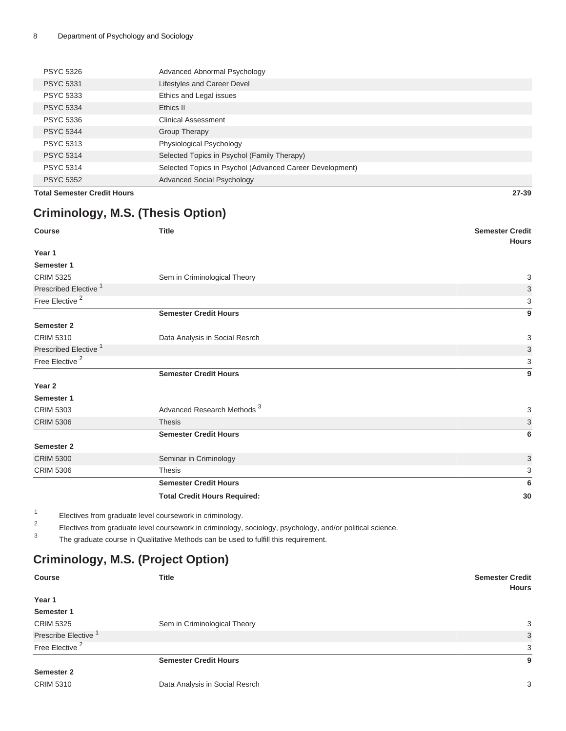| <b>PSYC 5326</b> | Advanced Abnormal Psychology                             |
|------------------|----------------------------------------------------------|
| <b>PSYC 5331</b> | Lifestyles and Career Devel                              |
| <b>PSYC 5333</b> | Ethics and Legal issues                                  |
| <b>PSYC 5334</b> | Ethics II                                                |
| <b>PSYC 5336</b> | Clinical Assessment                                      |
| <b>PSYC 5344</b> | Group Therapy                                            |
| <b>PSYC 5313</b> | Physiological Psychology                                 |
| <b>PSYC 5314</b> | Selected Topics in Psychol (Family Therapy)              |
| <b>PSYC 5314</b> | Selected Topics in Psychol (Advanced Career Development) |
| <b>PSYC 5352</b> | <b>Advanced Social Psychology</b>                        |

**Total Semester Credit Hours 27-39**

# **Criminology, M.S. (Thesis Option)**

| <b>Course</b>                    | <b>Title</b>                           | <b>Semester Credit</b><br><b>Hours</b> |
|----------------------------------|----------------------------------------|----------------------------------------|
| Year 1                           |                                        |                                        |
| Semester 1                       |                                        |                                        |
| <b>CRIM 5325</b>                 | Sem in Criminological Theory           | 3                                      |
| Prescribed Elective <sup>1</sup> |                                        | 3                                      |
| Free Elective <sup>2</sup>       |                                        | 3                                      |
|                                  | <b>Semester Credit Hours</b>           | 9                                      |
| Semester 2                       |                                        |                                        |
| <b>CRIM 5310</b>                 | Data Analysis in Social Resrch         | 3                                      |
| Prescribed Elective <sup>1</sup> |                                        | 3                                      |
| Free Elective <sup>2</sup>       |                                        | 3                                      |
|                                  | <b>Semester Credit Hours</b>           | 9                                      |
| Year <sub>2</sub>                |                                        |                                        |
| Semester 1                       |                                        |                                        |
| <b>CRIM 5303</b>                 | Advanced Research Methods <sup>3</sup> | 3                                      |
| <b>CRIM 5306</b>                 | <b>Thesis</b>                          | 3                                      |
|                                  | <b>Semester Credit Hours</b>           | 6                                      |
| Semester 2                       |                                        |                                        |
| <b>CRIM 5300</b>                 | Seminar in Criminology                 | 3                                      |
| <b>CRIM 5306</b>                 | <b>Thesis</b>                          | 3                                      |
|                                  | <b>Semester Credit Hours</b>           | 6                                      |
|                                  | <b>Total Credit Hours Required:</b>    | 30                                     |

1 Electives from graduate level coursework in criminology.

2 Electives from graduate level coursework in criminology, sociology, psychology, and/or political science.

3 The graduate course in Qualitative Methods can be used to fulfill this requirement.

# **Criminology, M.S. (Project Option)**

| Course                          | Title                        | <b>Semester Credit</b><br><b>Hours</b> |
|---------------------------------|------------------------------|----------------------------------------|
| Year 1                          |                              |                                        |
| Semester 1                      |                              |                                        |
| <b>CRIM 5325</b>                | Sem in Criminological Theory | 3                                      |
| Prescribe Elective <sup>1</sup> |                              | 3                                      |
| Free Elective <sup>2</sup>      |                              | 3                                      |
|                                 | <b>Semester Credit Hours</b> | 9                                      |
| Semester 2                      |                              |                                        |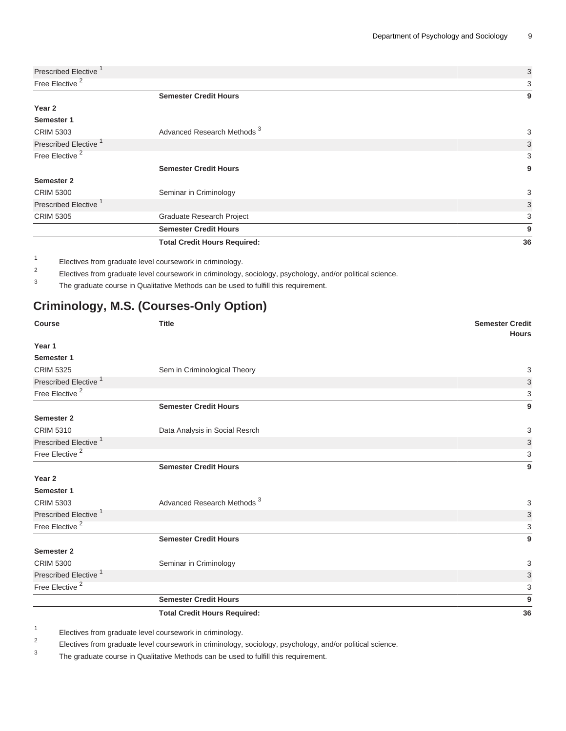|                                  | <b>Total Credit Hours Required:</b>    | 36 |
|----------------------------------|----------------------------------------|----|
|                                  | <b>Semester Credit Hours</b>           | 9  |
| <b>CRIM 5305</b>                 | Graduate Research Project              | 3  |
| Prescribed Elective <sup>1</sup> |                                        | 3  |
| <b>CRIM 5300</b>                 | Seminar in Criminology                 | 3  |
| <b>Semester 2</b>                |                                        |    |
|                                  | <b>Semester Credit Hours</b>           | 9  |
| Free Elective <sup>2</sup>       |                                        | 3  |
| Prescribed Elective <sup>1</sup> |                                        | 3  |
| <b>CRIM 5303</b>                 | Advanced Research Methods <sup>3</sup> | 3  |
| Semester 1                       |                                        |    |
| Year 2                           |                                        |    |
|                                  | <b>Semester Credit Hours</b>           | 9  |
| Free Elective <sup>2</sup>       |                                        | 3  |
| Prescribed Elective <sup>1</sup> |                                        | 3  |

1 Electives from graduate level coursework in criminology.

2 Electives from graduate level coursework in criminology, sociology, psychology, and/or political science.

3 The graduate course in Qualitative Methods can be used to fulfill this requirement.

# **Criminology, M.S. (Courses-Only Option)**

| <b>Course</b>                    | <b>Title</b>                           | <b>Semester Credit</b><br><b>Hours</b> |
|----------------------------------|----------------------------------------|----------------------------------------|
| Year 1                           |                                        |                                        |
| Semester 1                       |                                        |                                        |
| <b>CRIM 5325</b>                 | Sem in Criminological Theory           | 3                                      |
| Prescribed Elective <sup>1</sup> |                                        | 3                                      |
| Free Elective <sup>2</sup>       |                                        | 3                                      |
|                                  | <b>Semester Credit Hours</b>           | 9                                      |
| Semester 2                       |                                        |                                        |
| <b>CRIM 5310</b>                 | Data Analysis in Social Resrch         | 3                                      |
| Prescribed Elective <sup>1</sup> |                                        | 3                                      |
| Free Elective <sup>2</sup>       |                                        | 3                                      |
|                                  | <b>Semester Credit Hours</b>           | 9                                      |
| Year <sub>2</sub>                |                                        |                                        |
| Semester 1                       |                                        |                                        |
| <b>CRIM 5303</b>                 | Advanced Research Methods <sup>3</sup> | 3                                      |
| Prescribed Elective <sup>1</sup> |                                        | 3                                      |
| Free Elective <sup>2</sup>       |                                        | 3                                      |
|                                  | <b>Semester Credit Hours</b>           | 9                                      |
| Semester 2                       |                                        |                                        |
| <b>CRIM 5300</b>                 | Seminar in Criminology                 | 3                                      |
| Prescribed Elective <sup>1</sup> |                                        | 3                                      |
| Free Elective <sup>2</sup>       |                                        | 3                                      |
|                                  | <b>Semester Credit Hours</b>           | 9                                      |
|                                  | <b>Total Credit Hours Required:</b>    | 36                                     |

1 Electives from graduate level coursework in criminology.

2 Electives from graduate level coursework in criminology, sociology, psychology, and/or political science.

3 The graduate course in Qualitative Methods can be used to fulfill this requirement.